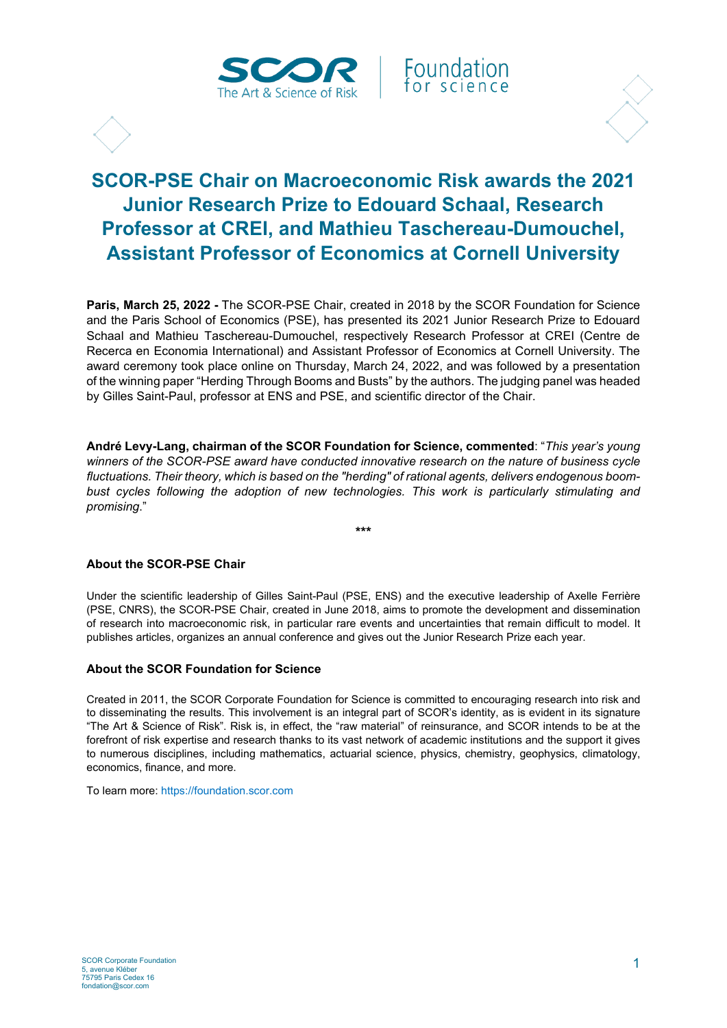





## **SCOR-PSE Chair on Macroeconomic Risk awards the 2021 Junior Research Prize to Edouard Schaal, Research Professor at CREI, and Mathieu Taschereau-Dumouchel, Assistant Professor of Economics at Cornell University**

Foundation

**Paris, March 25, 2022 -** The SCOR-PSE Chair, created in 2018 by the SCOR Foundation for Science and the Paris School of Economics (PSE), has presented its 2021 Junior Research Prize to Edouard Schaal and Mathieu Taschereau-Dumouchel, respectively Research Professor at CREI (Centre de Recerca en Economia International) and Assistant Professor of Economics at Cornell University. The award ceremony took place online on Thursday, March 24, 2022, and was followed by a presentation of the winning paper "Herding Through Booms and Busts" by the authors. The judging panel was headed by Gilles Saint-Paul, professor at ENS and PSE, and scientific director of the Chair.

**André Levy-Lang, chairman of the SCOR Foundation for Science, commented**: "*This year's young winners of the SCOR-PSE award have conducted innovative research on the nature of business cycle fluctuations. Their theory, which is based on the "herding" of rational agents, delivers endogenous boombust cycles following the adoption of new technologies. This work is particularly stimulating and promising*."

**\*\*\***

## **About the SCOR-PSE Chair**

Under the scientific leadership of Gilles Saint-Paul (PSE, ENS) and the executive leadership of Axelle Ferrière (PSE, CNRS), the SCOR-PSE Chair, created in June 2018, aims to promote the development and dissemination of research into macroeconomic risk, in particular rare events and uncertainties that remain difficult to model. It publishes articles, organizes an annual conference and gives out the Junior Research Prize each year.

## **About the SCOR Foundation for Science**

Created in 2011, the SCOR Corporate Foundation for Science is committed to encouraging research into risk and to disseminating the results. This involvement is an integral part of SCOR's identity, as is evident in its signature "The Art & Science of Risk". Risk is, in effect, the "raw material" of reinsurance, and SCOR intends to be at the forefront of risk expertise and research thanks to its vast network of academic institutions and the support it gives to numerous disciplines, including mathematics, actuarial science, physics, chemistry, geophysics, climatology, economics, finance, and more.

To learn more: [https://foundation.scor.com](https://foundation.scor.com/)